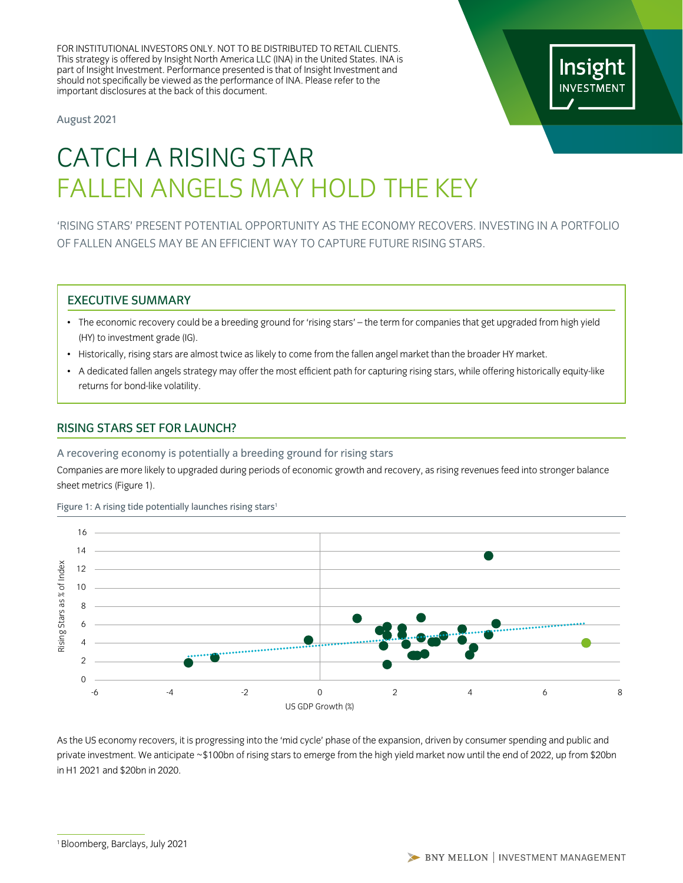FOR INSTITUTIONAL INVESTORS ONLY. NOT TO BE DISTRIBUTED TO RETAIL CLIENTS. This strategy is offered by Insight North America LLC (INA) in the United States. INA is part of Insight Investment. Performance presented is that of Insight Investment and should not specifically be viewed as the performance of INA. Please refer to the important disclosures at the back of this document.

August 2021

# Insight **INVESTMENT**

# CATCH A RISING STAR FALLEN ANGELS MAY HOLD THE KEY

'RISING STARS' PRESENT POTENTIAL OPPORTUNITY AS THE ECONOMY RECOVERS. INVESTING IN A PORTFOLIO OF FALLEN ANGELS MAY BE AN EFFICIENT WAY TO CAPTURE FUTURE RISING STARS.

### EXECUTIVE SUMMARY

- The economic recovery could be a breeding ground for 'rising stars' the term for companies that get upgraded from high yield (HY) to investment grade (IG).
- Historically, rising stars are almost twice as likely to come from the fallen angel market than the broader HY market.
- A dedicated fallen angels strategy may offer the most efficient path for capturing rising stars, while offering historically equity-like returns for bond-like volatility.

# RISING STARS SET FOR LAUNCH?

A recovering economy is potentially a breeding ground for rising stars

Companies are more likely to upgraded during periods of economic growth and recovery, as rising revenues feed into stronger balance sheet metrics (Figure 1).

Figure 1: A rising tide potentially launches rising stars<sup>1</sup>



in H1 2021 and \$20bn in 2020. As the US economy recovers, it is progressing into the 'mid cycle' phase of the expansion, driven by consumer spending and public and private investment. We anticipate ~\$100bn of rising stars to emerge from the high yield market now until the end of 2022, up from \$20bn

<sup>1</sup> Bloomberg, Barclays, July 2021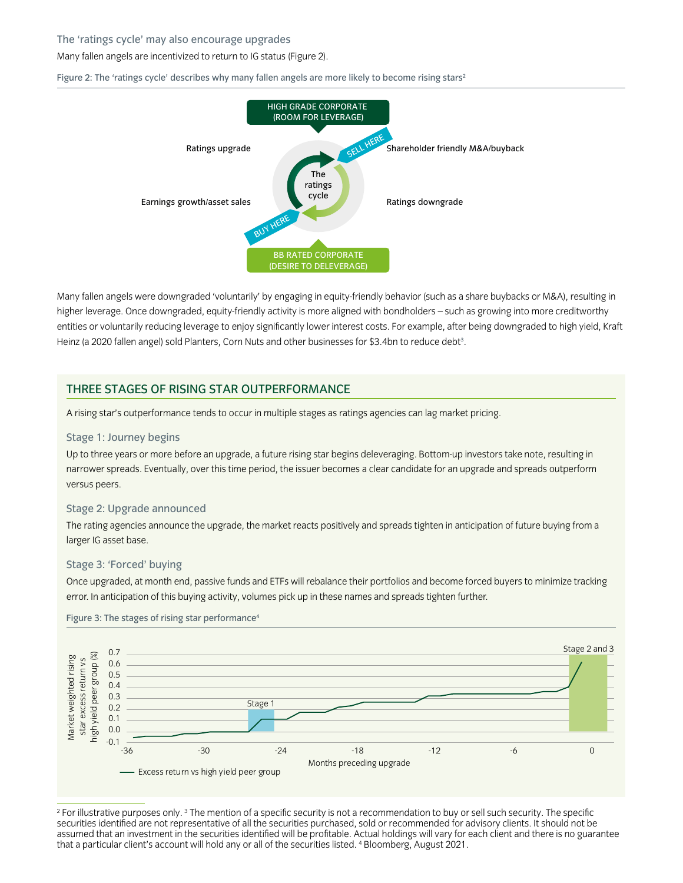#### The 'ratings cycle' may also encourage upgrades

#### Many fallen angels are incentivized to return to IG status (Figure 2).

Figure 2: The 'ratings cycle' describes why many fallen angels are more likely to become rising stars<sup>2</sup>



entities or voluntarily reducing leverage to enjoy significantly lower interest costs. For example, after being downgraded to high yield, Kraft Many fallen angels were downgraded 'voluntarily' by engaging in equity-friendly behavior (such as a share buybacks or M&A), resulting in higher leverage. Once downgraded, equity-friendly activity is more aligned with bondholders – such as growing into more creditworthy Heinz (a 2020 fallen angel) sold Planters, Corn Nuts and other businesses for \$3.4bn to reduce debt<sup>3</sup> .

### THREE STAGES OF RISING STAR OUTPERFORMANCE

A rising star's outperformance tends to occur in multiple stages as ratings agencies can lag market pricing.

#### Stage 1: Journey begins

Up to three years or more before an upgrade, a future rising star begins deleveraging. Bottom-up investors take note, resulting in narrower spreads. Eventually, over this time period, the issuer becomes a clear candidate for an upgrade and spreads outperform versus peers.

#### Stage 2: Upgrade announced

The rating agencies announce the upgrade, the market reacts positively and spreads tighten in anticipation of future buying from a larger IG asset base.

#### Stage 3: 'Forced' buying

Once upgraded, at month end, passive funds and ETFs will rebalance their portfolios and become forced buyers to minimize tracking error. In anticipation of this buying activity, volumes pick up in these names and spreads tighten further.



Figure 3: The stages of rising star performance<sup>4</sup>

 $^2$  For illustrative purposes only.  $^3$  The mention of a specific security is not a recommendation to buy or sell such security. The specific securities identified are not representative of all the securities purchased, sold or recommended for advisory clients. It should not be assumed that an investment in the securities identified will be profitable. Actual holdings will vary for each client and there is no guarantee that a particular client's account will hold any or all of the securities listed. 4 Bloomberg, August 2021.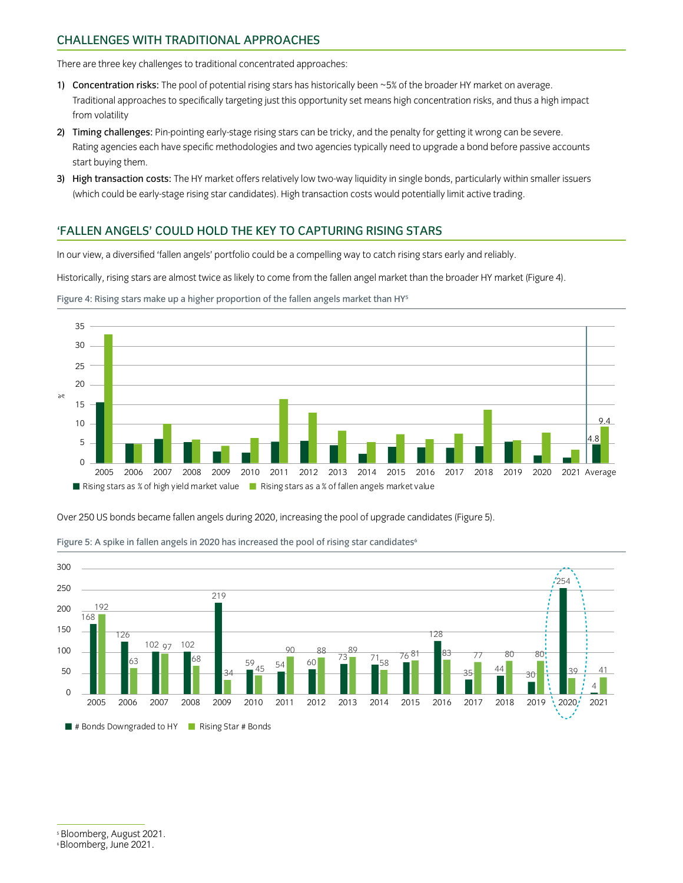# CHALLENGES WITH TRADITIONAL APPROACHES

There are three key challenges to traditional concentrated approaches:

- 1) Concentration risks: The pool of potential rising stars has historically been ~5% of the broader HY market on average. Traditional approaches to specifically targeting just this opportunity set means high concentration risks, and thus a high impact from volatility
- 2) Timing challenges: Pin-pointing early-stage rising stars can be tricky, and the penalty for getting it wrong can be severe. Rating agencies each have specific methodologies and two agencies typically need to upgrade a bond before passive accounts start buying them.
- 3) High transaction costs: The HY market offers relatively low two-way liquidity in single bonds, particularly within smaller issuers (which could be early-stage rising star candidates). High transaction costs would potentially limit active trading.

# 'FALLEN ANGELS' COULD HOLD THE KEY TO CAPTURING RISING STARS

In our view, a diversified 'fallen angels' portfolio could be a compelling way to catch rising stars early and reliably.

Historically, rising stars are almost twice as likely to come from the fallen angel market than the broader HY market (Figure 4).



Figure 4: Rising stars make up a higher proportion of the fallen angels market than HY<sup>5</sup>

Over 250 US bonds became fallen angels during 2020, increasing the pool of upgrade candidates (Figure 5).



Figure 5: A spike in fallen angels in 2020 has increased the pool of rising star candidates

Bloomberg, August 2021.

<sup>6</sup> Bloomberg, June 2021.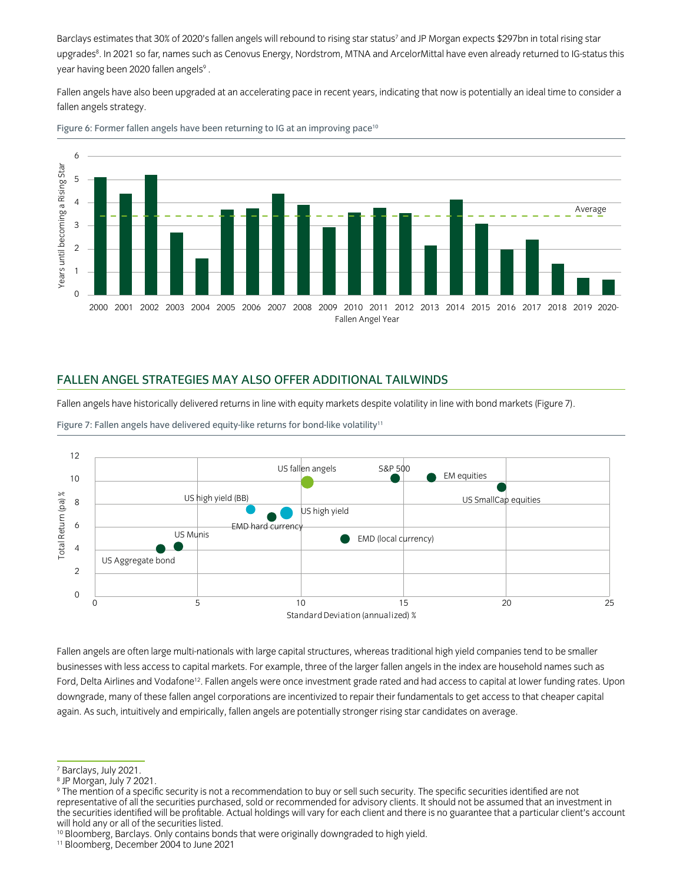Barclays estimates that 30% of 2020's fallen angels will rebound to rising star status<sup>7</sup> and JP Morgan expects \$297bn in total rising star upgrades8. In 2021 so far, names such as Cenovus Energy, Nordstrom, MTNA and ArcelorMittal have even already returned to IG-status this year having been 2020 fallen angels<sup>9</sup> .

Fallen angels have also been upgraded at an accelerating pace in recent years, indicating that now is potentially an ideal time to consider a fallen angels strategy.



Figure 6: Former fallen angels have been returning to IG at an improving pace<sup>10</sup>

# FALLEN ANGEL STRATEGIES MAY ALSO OFFER ADDITIONAL TAILWINDS

Name 2 Name 3 Name 3 Name 3 Name 3 Name 3 Name 3 Name 3 Name 3 Name 3 Name 3 Name 3 Name 3 Name 3 Fallen angels have historically delivered returns in line with equity markets despite volatility in line with bond markets (Figure 7).

Figure 7: Fallen angels have delivered equity-like returns for bond-like volatility<sup>11</sup>



name 2 name 2 name 2 name 1 name 5 name 5 name 5 name 5 name 5 name 5 name 5 name 5 name 5 name 5<br>downgrade, many of these fallen angel corporations are incentivized to repair their fundamentals to get access Fallen angels are often large multi-nationals with large capital structures, whereas traditional high yield companies tend to be smaller businesses with less access to capital markets. For example, three of the larger fallen angels in the index are household names such as Ford, Delta Airlines and Vodafone<sup>12</sup>. Fallen angels were once investment grade rated and had access to capital at lower funding rates. Upon again. As such, intuitively and empirically, fallen angels are potentially stronger rising star candidates on average.

<sup>10</sup> Bloomberg, Barclays. Only contains bonds that were originally downgraded to high yield.

<sup>7</sup> Barclays, July 2021.

<sup>8</sup> JP Morgan, July 7 2021.

<sup>9</sup> The mention of a specific security is not a recommendation to buy or sell such security. The specific securities identified are not representative of all the securities purchased, sold or recommended for advisory clients. It should not be assumed that an investment in the securities identified will be profitable. Actual holdings will vary for each client and there is no guarantee that a particular client's account will hold any or all of the securities listed.

<sup>11</sup> Bloomberg, December 2004 to June 2021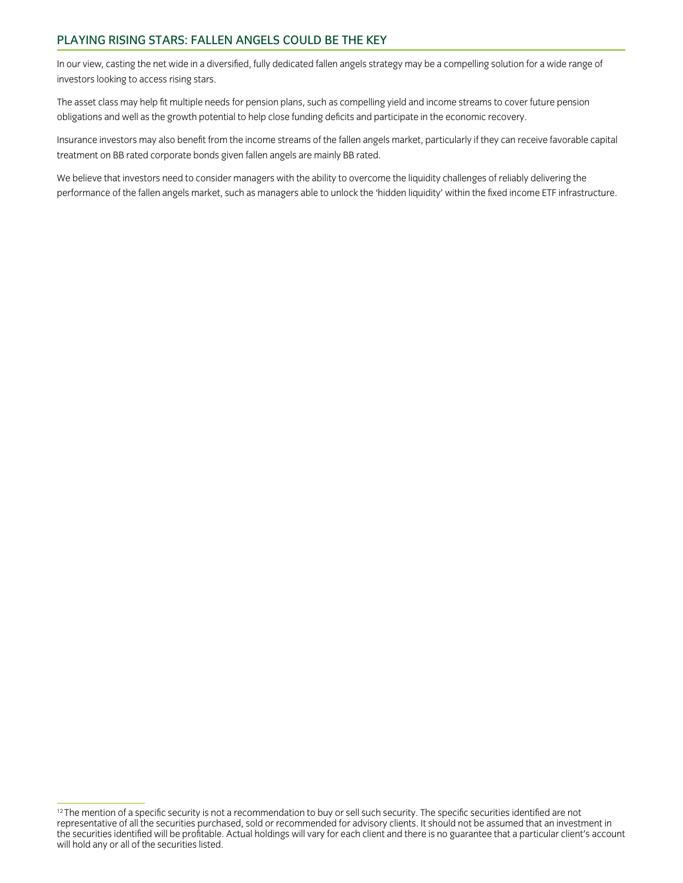# PLAYING RISING STARS: FALLEN ANGELS COULD BE THE KEY

In our view, casting the net wide in a diversified, fully dedicated fallen angels strategy may be a compelling solution for a wide range of investors looking to access rising stars.

The asset class may help fit multiple needs for pension plans, such as compelling yield and income streams to cover future pension obligations and well as the growth potential to help close funding deficits and participate in the economic recovery.

Insurance investors may also benefit from the income streams of the fallen angels market, particularly if they can receive favorable capital treatment on BB rated corporate bonds given fallen angels are mainly BB rated.

We believe that investors need to consider managers with the ability to overcome the liquidity challenges of reliably delivering the performance of the fallen angels market, such as managers able to unlock the 'hidden liquidity' within the fixed income ETF infrastructure.

 $12$  The mention of a specific security is not a recommendation to buy or sell such security. The specific securities identified are not representative of all the securities purchased, sold or recommended for advisory clients. It should not be assumed that an investment in the securities identified will be profitable. Actual holdings will vary for each client and there is no guarantee that a particular client's account will hold any or all of the securities listed.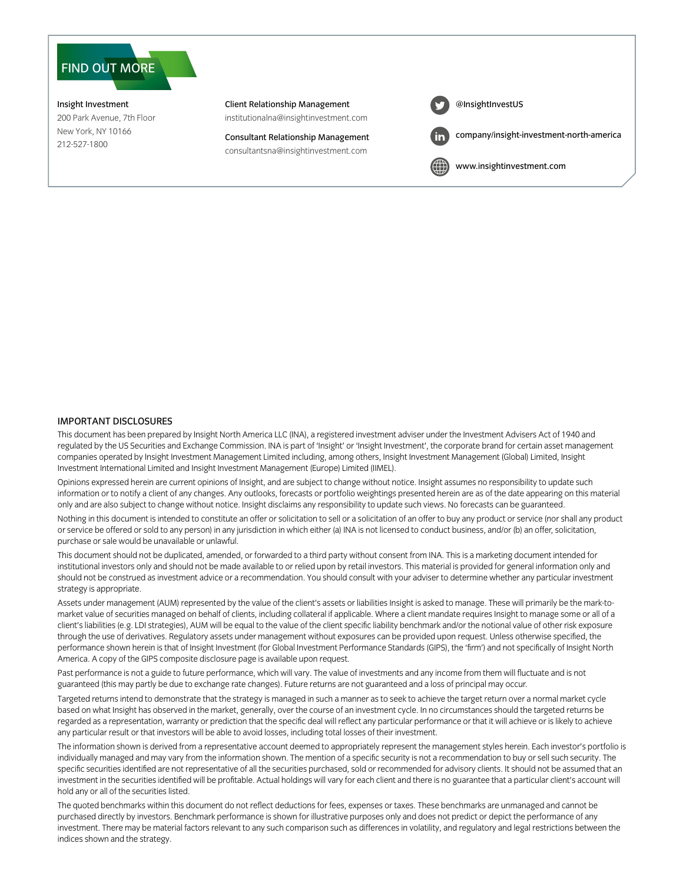# FIND OUT MORE

Insight Investment 200 Park Avenue, 7th Floor New York, NY 10166 212-527-1800

Client Relationship Management institutionalna@insightinvestment.com

Consultant Relationship Management

consultantsna@insightinvestment.com

[@InsightInvestU](https://twitter.com/InsightinvestUS)S [company/insight-investment-north-america](https://www.linkedin.com/company/insight-investment-north-america/)

[www.insightinvestment.com](http://www.insightinvestment.com)

#### IMPORTANT DISCLOSURES

This document has been prepared by Insight North America LLC (INA), a registered investment adviser under the Investment Advisers Act of 1940 and regulated by the US Securities and Exchange Commission. INA is part of 'Insight' or 'Insight Investment', the corporate brand for certain asset management companies operated by Insight Investment Management Limited including, among others, Insight Investment Management (Global) Limited, Insight Investment International Limited and Insight Investment Management (Europe) Limited (IIMEL).

Opinions expressed herein are current opinions of Insight, and are subject to change without notice. Insight assumes no responsibility to update such information or to notify a client of any changes. Any outlooks, forecasts or portfolio weightings presented herein are as of the date appearing on this material only and are also subject to change without notice. Insight disclaims any responsibility to update such views. No forecasts can be guaranteed.

Nothing in this document is intended to constitute an offer or solicitation to sell or a solicitation of an offer to buy any product or service (nor shall any product or service be offered or sold to any person) in any jurisdiction in which either (a) INA is not licensed to conduct business, and/or (b) an offer, solicitation, purchase or sale would be unavailable or unlawful.

This document should not be duplicated, amended, or forwarded to a third party without consent from INA. This is a marketing document intended for institutional investors only and should not be made available to or relied upon by retail investors. This material is provided for general information only and should not be construed as investment advice or a recommendation. You should consult with your adviser to determine whether any particular investment strategy is appropriate.

Assets under management (AUM) represented by the value of the client's assets or liabilities Insight is asked to manage. These will primarily be the mark-tomarket value of securities managed on behalf of clients, including collateral if applicable. Where a client mandate requires Insight to manage some or all of a client's liabilities (e.g. LDI strategies), AUM will be equal to the value of the client specific liability benchmark and/or the notional value of other risk exposure through the use of derivatives. Regulatory assets under management without exposures can be provided upon request. Unless otherwise specified, the performance shown herein is that of Insight Investment (for Global Investment Performance Standards (GIPS), the 'firm') and not specifically of Insight North America. A copy of the GIPS composite disclosure page is available upon request.

Past performance is not a guide to future performance, which will vary. The value of investments and any income from them will fluctuate and is not guaranteed (this may partly be due to exchange rate changes). Future returns are not guaranteed and a loss of principal may occur.

Targeted returns intend to demonstrate that the strategy is managed in such a manner as to seek to achieve the target return over a normal market cycle based on what Insight has observed in the market, generally, over the course of an investment cycle. In no circumstances should the targeted returns be regarded as a representation, warranty or prediction that the specific deal will reflect any particular performance or that it will achieve or is likely to achieve any particular result or that investors will be able to avoid losses, including total losses of their investment.

The information shown is derived from a representative account deemed to appropriately represent the management styles herein. Each investor's portfolio is individually managed and may vary from the information shown. The mention of a specific security is not a recommendation to buy or sell such security. The specific securities identified are not representative of all the securities purchased, sold or recommended for advisory clients. It should not be assumed that an investment in the securities identified will be profitable. Actual holdings will vary for each client and there is no guarantee that a particular client's account will hold any or all of the securities listed.

The quoted benchmarks within this document do not reflect deductions for fees, expenses or taxes. These benchmarks are unmanaged and cannot be purchased directly by investors. Benchmark performance is shown for illustrative purposes only and does not predict or depict the performance of any investment. There may be material factors relevant to any such comparison such as differences in volatility, and regulatory and legal restrictions between the indices shown and the strategy.